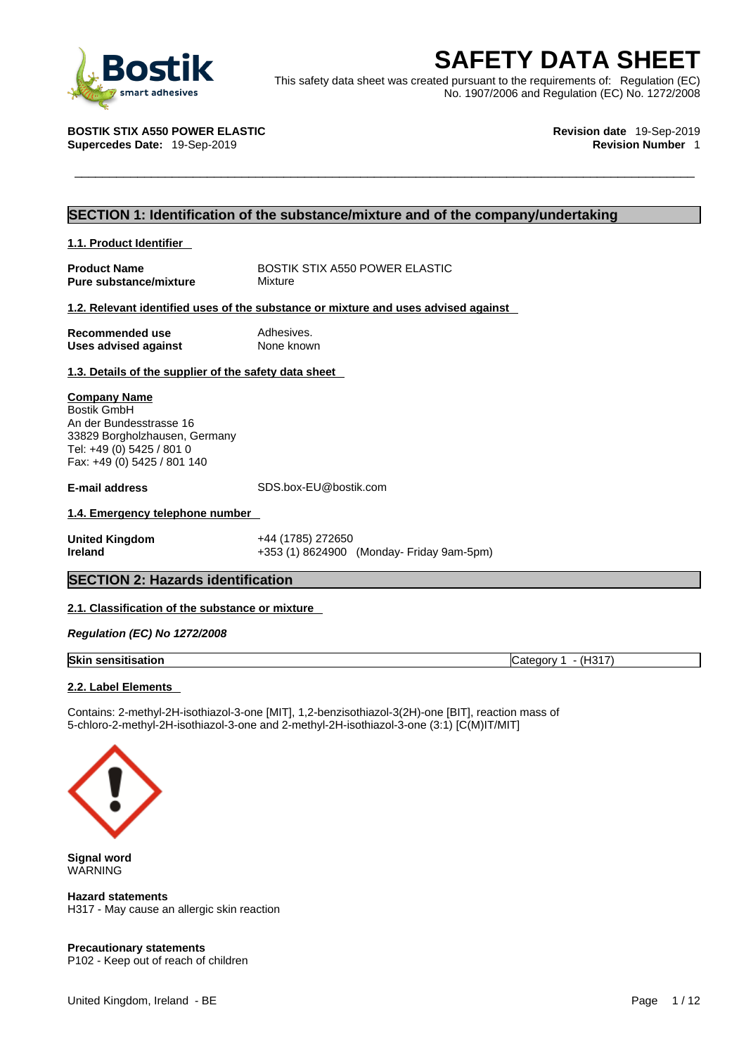

**SAFETY DATA SHEET**<br>
This safety data sheet was created pursuant to the requirements of: Regulation (EC)<br>
No. 1907/2006 and Regulation (EC) No. 1272/2008<br>
No. 1907/2006 and Regulation (EC) No. 1272/2008<br>
Revision date 19-S This safety data sheet was created pursuant to the requirements of: Regulation (EC) No. 1907/2006 and Regulation (EC) No. 1272/2008

**Supercedes Date: 19-Sep-2019** 

**BOSTIK STIX A550 POWER ELASTIC Revision date** 19-Sep-2019

### **SECTION 1: Identification of the substance/mixture and of the company/undertaking**

| 1.1. Product Identifier                                                                                                                                    |                                                                                    |
|------------------------------------------------------------------------------------------------------------------------------------------------------------|------------------------------------------------------------------------------------|
| <b>Product Name</b><br><b>Pure substance/mixture</b>                                                                                                       | BOSTIK STIX A550 POWER ELASTIC<br>Mixture                                          |
|                                                                                                                                                            | 1.2. Relevant identified uses of the substance or mixture and uses advised against |
| Recommended use<br>Uses advised against                                                                                                                    | Adhesives.<br>None known                                                           |
| 1.3. Details of the supplier of the safety data sheet                                                                                                      |                                                                                    |
| <b>Company Name</b><br>Bostik GmbH<br>An der Bundesstrasse 16<br>33829 Borgholzhausen, Germany<br>Tel: +49 (0) 5425 / 801 0<br>Fax: +49 (0) 5425 / 801 140 |                                                                                    |
| <b>E-mail address</b>                                                                                                                                      | SDS.box-EU@bostik.com                                                              |
| 1.4. Emergency telephone number                                                                                                                            |                                                                                    |
| <b>United Kingdom</b><br><b>Ireland</b>                                                                                                                    | +44 (1785) 272650<br>+353 (1) 8624900 (Monday- Friday 9am-5pm)                     |

### **SECTION 2: Hazards identification**

### **2.1. Classification of the substance or mixture**

*Regulation (EC) No 1272/2008* 

| <b>Skin sensitisation</b> |  |
|---------------------------|--|
|                           |  |

**Skin sensitisation** Category 1 - (H317)

### **2.2. Label Elements**

Contains: 2-methyl-2H-isothiazol-3-one [MIT], 1,2-benzisothiazol-3(2H)-one [BIT], reaction mass of 5-chloro-2-methyl-2H-isothiazol-3-one and 2-methyl-2H-isothiazol-3-one (3:1) [C(M)IT/MIT]



**Signal word** WARNING

**Hazard statements** H317 - May cause an allergic skin reaction

### **Precautionary statements** P102 - Keep out of reach of children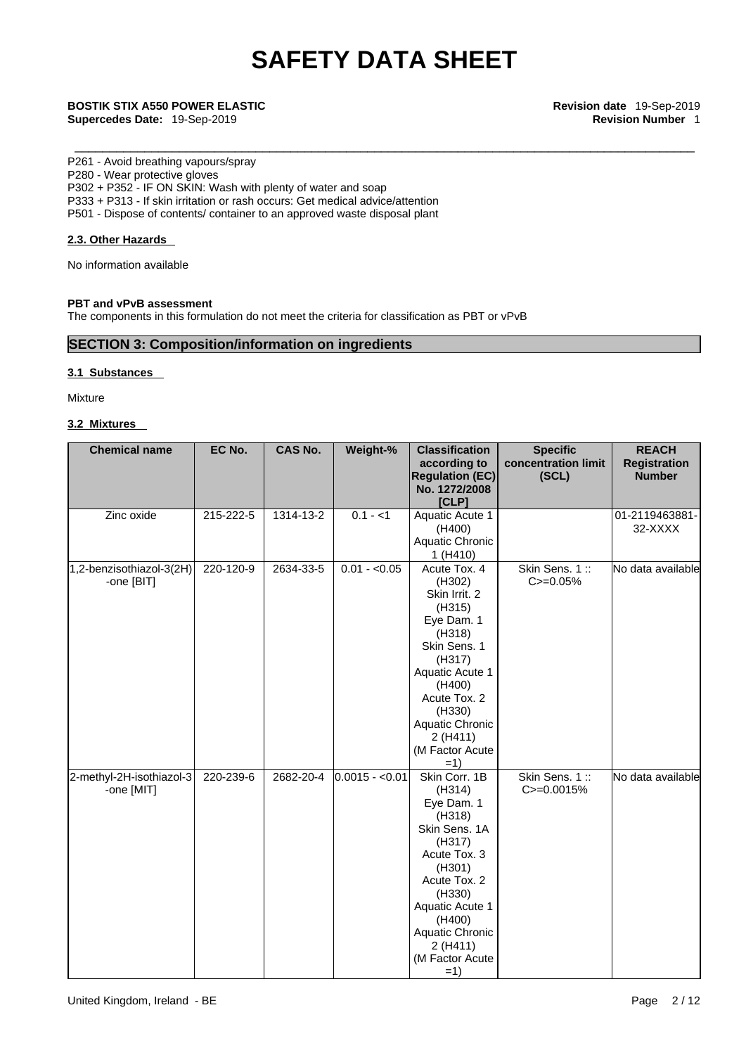\_\_\_\_\_\_\_\_\_\_\_\_\_\_\_\_\_\_\_\_\_\_\_\_\_\_\_\_\_\_\_\_\_\_\_\_\_\_\_\_\_\_\_\_\_\_\_\_\_\_\_\_\_\_\_\_\_\_\_\_\_\_\_\_\_\_\_\_\_\_\_\_\_\_\_\_\_\_\_\_\_\_\_\_\_\_\_\_\_ **BOSTIK STIX A550 POWER ELASTIC Revision date** 19-Sep-2019 **Supercedes Date:** 19-Sep-2019 **Revision Number** 1

### P261 - Avoid breathing vapours/spray

P280 - Wear protective gloves P302 + P352 - IF ON SKIN: Wash with plenty of water and soap P333 + P313 - If skin irritation or rash occurs: Get medical advice/attention P501 - Dispose of contents/ container to an approved waste disposal plant

### **2.3. Other Hazards**

No information available

### **PBT and vPvB assessment**

The components in this formulation do not meet the criteria for classification as PBT or vPvB

### **SECTION 3: Composition/information on ingredients**

### **3.1 Substances**

Mixture

### **3.2 Mixtures**

| <b>Chemical name</b>                   | EC No.    | CAS No.   | Weight-%        | <b>Classification</b><br>according to<br><b>Regulation (EC)</b><br>No. 1272/2008<br>[CLP]                                                                                                                               | <b>Specific</b><br>concentration limit<br>(SCL) | <b>REACH</b><br><b>Registration</b><br><b>Number</b> |
|----------------------------------------|-----------|-----------|-----------------|-------------------------------------------------------------------------------------------------------------------------------------------------------------------------------------------------------------------------|-------------------------------------------------|------------------------------------------------------|
| Zinc oxide                             | 215-222-5 | 1314-13-2 | $0.1 - 1$       | Aquatic Acute 1<br>(H400)<br>Aquatic Chronic<br>1 (H410)                                                                                                                                                                |                                                 | 01-2119463881-<br>32-XXXX                            |
| 1,2-benzisothiazol-3(2H)<br>-one [BIT] | 220-120-9 | 2634-33-5 | $0.01 - 0.05$   | Acute Tox. 4<br>(H302)<br>Skin Irrit. 2<br>(H315)<br>Eye Dam. 1<br>(H318)<br>Skin Sens. 1<br>(H317)<br>Aquatic Acute 1<br>(H400)<br>Acute Tox. 2<br>(H330)<br>Aquatic Chronic<br>2 (H411)<br>(M Factor Acute<br>$=1)$   | Skin Sens. 1::<br>$C = 0.05%$                   | No data available                                    |
| 2-methyl-2H-isothiazol-3<br>-one [MIT] | 220-239-6 | 2682-20-4 | $0.0015 - 0.01$ | Skin Corr. 1B<br>(H314)<br>Eye Dam. 1<br>(H318)<br>Skin Sens. 1A<br>(H317)<br>Acute Tox. 3<br>(H301)<br>Acute Tox. 2<br>(H330)<br>Aquatic Acute 1<br>(H400)<br>Aquatic Chronic<br>2 (H411)<br>(M Factor Acute)<br>$=1)$ | Skin Sens. 1::<br>C>=0.0015%                    | No data available                                    |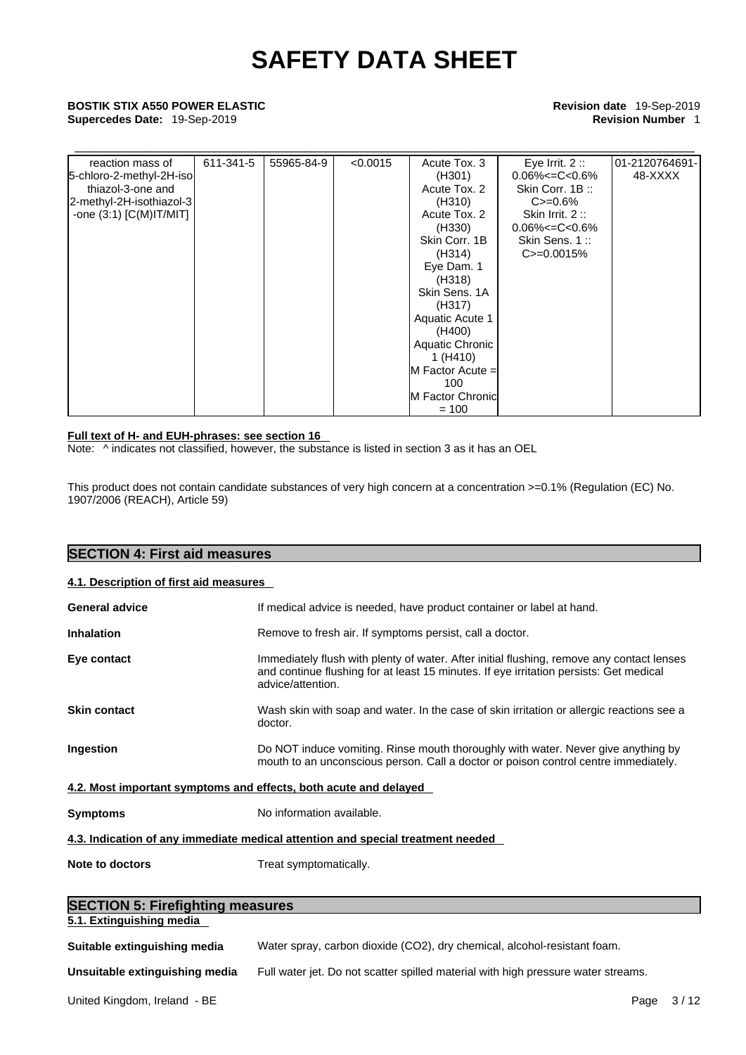## **Supercedes Date:** 19-Sep-2019 **Revision Number** 1

| <b>BOSTIK STIX A550 POWER ELASTIC</b>                                                                                         |           |            | Revision date 19-Sep-2019 |                                                                                                                                                                                                                                                                                         |                                                                                                                                                             |                           |
|-------------------------------------------------------------------------------------------------------------------------------|-----------|------------|---------------------------|-----------------------------------------------------------------------------------------------------------------------------------------------------------------------------------------------------------------------------------------------------------------------------------------|-------------------------------------------------------------------------------------------------------------------------------------------------------------|---------------------------|
| Supercedes Date: 19-Sep-2019                                                                                                  |           |            | <b>Revision Number 1</b>  |                                                                                                                                                                                                                                                                                         |                                                                                                                                                             |                           |
| reaction mass of<br>5-chloro-2-methyl-2H-iso<br>thiazol-3-one and<br>2-methyl-2H-isothiazol-3<br>-one $(3:1)$ $[C(M)$ IT/MIT] | 611-341-5 | 55965-84-9 | < 0.0015                  | Acute Tox. 3<br>(H301)<br>Acute Tox. 2<br>(H310)<br>Acute Tox. 2<br>(H330)<br>Skin Corr. 1B<br>(H314)<br>Eye Dam. 1<br>(H318)<br>Skin Sens. 1A<br>(H317)<br><b>Aquatic Acute 1</b><br>(H400)<br>Aquatic Chronic<br>1 (H410)<br>$M$ Factor Acute =<br>100<br>M Factor Chronic<br>$= 100$ | Eye Irrit. $2::$<br>$0.06\% < = C < 0.6\%$<br>Skin Corr. 1B:<br>$C = 0.6%$<br>Skin Irrit. $2::$<br>$0.06\% < = C < 0.6\%$<br>Skin Sens. 1:<br>$C = 0.0015%$ | 01-2120764691-<br>48-XXXX |

### **Full text of H- and EUH-phrases: see section 16**

**SECTION 4: First aid measures** 

Note:  $\wedge$  indicates not classified, however, the substance is listed in section 3 as it has an OEL

This product does not contain candidate substances of very high concern at a concentration >=0.1% (Regulation (EC) No. 1907/2006 (REACH), Article 59)

| SEU I IUN 4. FII SI dIU IIIE ASUI ES    |                                                                                                                                                                                                          |
|-----------------------------------------|----------------------------------------------------------------------------------------------------------------------------------------------------------------------------------------------------------|
| 4.1. Description of first aid measures  |                                                                                                                                                                                                          |
| <b>General advice</b>                   | If medical advice is needed, have product container or label at hand.                                                                                                                                    |
| <b>Inhalation</b>                       | Remove to fresh air. If symptoms persist, call a doctor.                                                                                                                                                 |
| Eye contact                             | Immediately flush with plenty of water. After initial flushing, remove any contact lenses<br>and continue flushing for at least 15 minutes. If eye irritation persists: Get medical<br>advice/attention. |
| <b>Skin contact</b>                     | Wash skin with soap and water. In the case of skin irritation or allergic reactions see a<br>doctor.                                                                                                     |
| Ingestion                               | Do NOT induce vomiting. Rinse mouth thoroughly with water. Never give anything by<br>mouth to an unconscious person. Call a doctor or poison control centre immediately.                                 |
|                                         | 4.2. Most important symptoms and effects, both acute and delayed                                                                                                                                         |
| <b>Symptoms</b>                         | No information available.                                                                                                                                                                                |
|                                         | 4.3. Indication of any immediate medical attention and special treatment needed                                                                                                                          |
| Note to doctors                         | Treat symptomatically.                                                                                                                                                                                   |
|                                         |                                                                                                                                                                                                          |
| <b>SECTION 5: Firefighting measures</b> |                                                                                                                                                                                                          |
| 5.1. Extinguishing media                |                                                                                                                                                                                                          |
| Suitable extinguishing media            | Water spray, carbon dioxide (CO2), dry chemical, alcohol-resistant foam.                                                                                                                                 |
|                                         |                                                                                                                                                                                                          |

**Unsuitable extinguishing media** Full water jet. Do not scatter spilled material with high pressure water streams.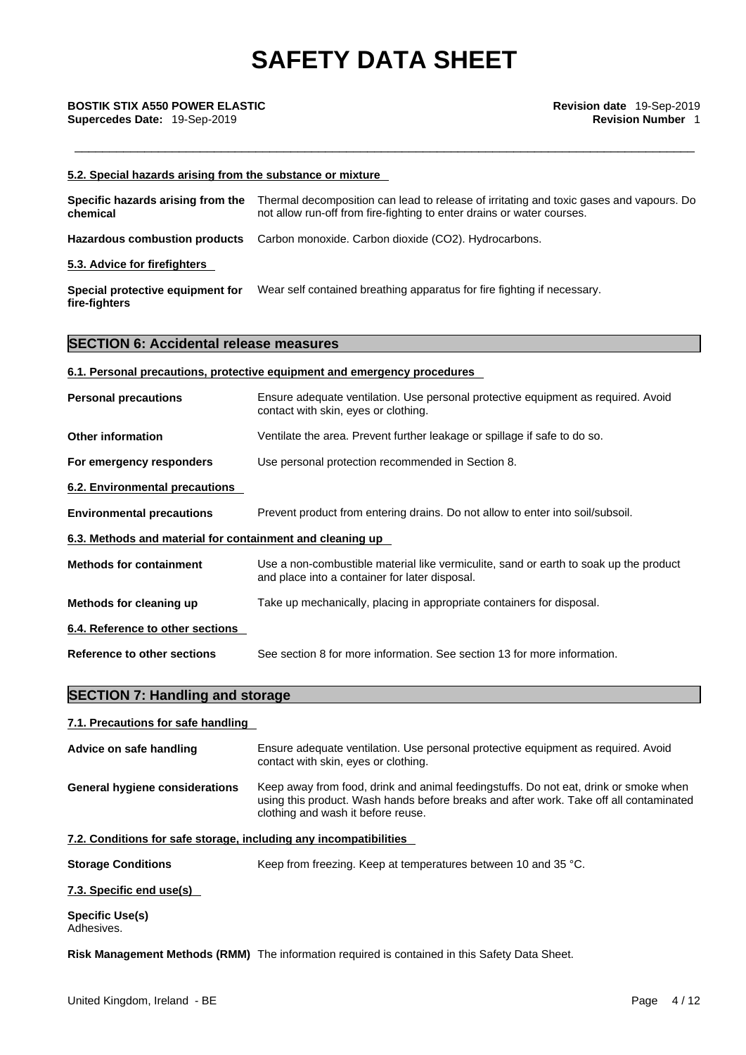| 5.2. Special hazards arising from the substance or mixture        |                                                                                                                                                                                                                      |
|-------------------------------------------------------------------|----------------------------------------------------------------------------------------------------------------------------------------------------------------------------------------------------------------------|
| Specific hazards arising from the<br>chemical                     | Thermal decomposition can lead to release of irritating and toxic gases and vapours. Do<br>not allow run-off from fire-fighting to enter drains or water courses.                                                    |
| <b>Hazardous combustion products</b>                              | Carbon monoxide. Carbon dioxide (CO2). Hydrocarbons.                                                                                                                                                                 |
| 5.3. Advice for firefighters                                      |                                                                                                                                                                                                                      |
| Special protective equipment for<br>fire-fighters                 | Wear self contained breathing apparatus for fire fighting if necessary.                                                                                                                                              |
| <b>SECTION 6: Accidental release measures</b>                     |                                                                                                                                                                                                                      |
|                                                                   | 6.1. Personal precautions, protective equipment and emergency procedures                                                                                                                                             |
| <b>Personal precautions</b>                                       | Ensure adequate ventilation. Use personal protective equipment as required. Avoid<br>contact with skin, eyes or clothing.                                                                                            |
| <b>Other information</b>                                          | Ventilate the area. Prevent further leakage or spillage if safe to do so.                                                                                                                                            |
| For emergency responders                                          | Use personal protection recommended in Section 8.                                                                                                                                                                    |
| 6.2. Environmental precautions                                    |                                                                                                                                                                                                                      |
| <b>Environmental precautions</b>                                  | Prevent product from entering drains. Do not allow to enter into soil/subsoil.                                                                                                                                       |
| 6.3. Methods and material for containment and cleaning up         |                                                                                                                                                                                                                      |
| <b>Methods for containment</b>                                    | Use a non-combustible material like vermiculite, sand or earth to soak up the product<br>and place into a container for later disposal.                                                                              |
| Methods for cleaning up                                           | Take up mechanically, placing in appropriate containers for disposal.                                                                                                                                                |
| 6.4. Reference to other sections                                  |                                                                                                                                                                                                                      |
| <b>Reference to other sections</b>                                | See section 8 for more information. See section 13 for more information.                                                                                                                                             |
| <b>SECTION 7: Handling and storage</b>                            |                                                                                                                                                                                                                      |
| 7.1. Precautions for safe handling                                |                                                                                                                                                                                                                      |
| Advice on safe handling                                           | Ensure adequate ventilation. Use personal protective equipment as required. Avoid<br>contact with skin, eyes or clothing.                                                                                            |
| <b>General hygiene considerations</b>                             | Keep away from food, drink and animal feedingstuffs. Do not eat, drink or smoke when<br>using this product. Wash hands before breaks and after work. Take off all contaminated<br>clothing and wash it before reuse. |
| 7.2. Conditions for safe storage, including any incompatibilities |                                                                                                                                                                                                                      |
| <b>Storage Conditions</b>                                         | Keep from freezing. Keep at temperatures between 10 and 35 °C.                                                                                                                                                       |
| 7.2. Concific and usale)                                          |                                                                                                                                                                                                                      |

**7.3. Specific end use(s)** 

**Specific Use(s)** Adhesives.

**Risk Management Methods (RMM)** The information required is contained in this Safety Data Sheet.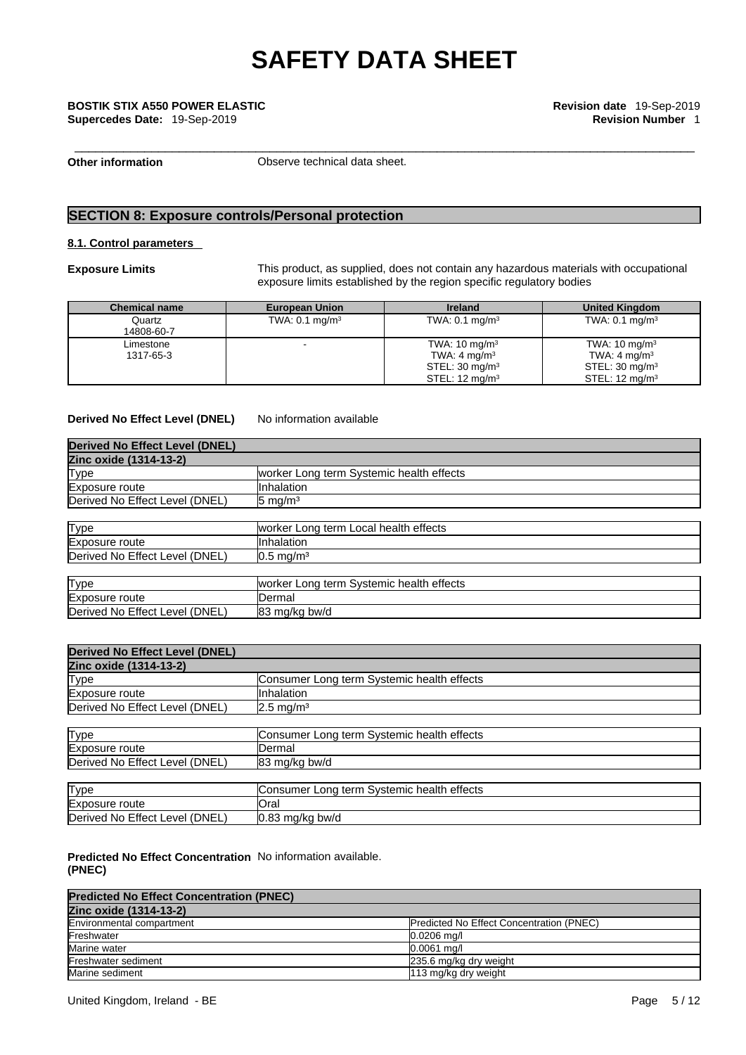## \_\_\_\_\_\_\_\_\_\_\_\_\_\_\_\_\_\_\_\_\_\_\_\_\_\_\_\_\_\_\_\_\_\_\_\_\_\_\_\_\_\_\_\_\_\_\_\_\_\_\_\_\_\_\_\_\_\_\_\_\_\_\_\_\_\_\_\_\_\_\_\_\_\_\_\_\_\_\_\_\_\_\_\_\_\_\_\_\_ **BOSTIK STIX A550 POWER ELASTIC Revision date** 19-Sep-2019 **Supercedes Date:** 19-Sep-2019 **Revision Number** 1

**Other information Observe technical data sheet.** 

### **SECTION 8: Exposure controls/Personal protection**

### **8.1. Control parameters**

**Exposure Limits** This product, as supplied, does not contain any hazardous materials with occupational exposure limits established by the region specific regulatory bodies

| <b>Chemical name</b>   | <b>European Union</b>     | <b>Ireland</b>                                                                                                | <b>United Kingdom</b>                                                                                          |
|------------------------|---------------------------|---------------------------------------------------------------------------------------------------------------|----------------------------------------------------------------------------------------------------------------|
| Quartz<br>14808-60-7   | TWA: $0.1 \text{ mg/m}^3$ | TWA: $0.1 \text{ mg/m}^3$                                                                                     | TWA: $0.1 \text{ mg/m}^3$                                                                                      |
| Limestone<br>1317-65-3 |                           | TWA: $10 \text{ mg/m}^3$<br>TWA: $4 \text{ mg/m}^3$<br>STEL: $30 \text{ mg/m}^3$<br>STEL: $12 \text{ mg/m}^3$ | TWA: $10 \text{ mg/m}^3$<br>TWA: 4 mg/m <sup>3</sup><br>STEL: $30 \text{ mg/m}^3$<br>STEL: $12 \text{ mg/m}^3$ |

**Derived No Effect Level (DNEL)** No information available

| <b>Derived No Effect Level (DNEL)</b> |                                          |
|---------------------------------------|------------------------------------------|
| Zinc oxide (1314-13-2)                |                                          |
| Type                                  | worker Long term Systemic health effects |
| Exposure route                        | Inhalation                               |
| Derived No Effect Level (DNEL)        | $5 \text{ mg/m}^3$                       |
|                                       |                                          |
| <b>Type</b>                           | worker Long term Local health effects    |
| Exposure route                        | Inhalation                               |
| Derived No Effect Level (DNEL)        | $0.5 \text{ mg/m}^3$                     |
|                                       |                                          |
| <b>Type</b>                           | worker Long term Systemic health effects |
| Exposure route                        | IDermal                                  |
| Derived No Effect Level (DNEL)        | 83 mg/kg bw/d                            |

| <b>Derived No Effect Level (DNEL)</b> |                                            |
|---------------------------------------|--------------------------------------------|
| Zinc oxide (1314-13-2)                |                                            |
| Type                                  | Consumer Long term Systemic health effects |
| Exposure route                        | Inhalation                                 |
| Derived No Effect Level (DNEL)        | $2.5 \text{ mg/m}^3$                       |
|                                       |                                            |
| <b>Type</b>                           | Consumer Long term Systemic health effects |
| Exposure route                        | Dermal                                     |
| Derived No Effect Level (DNEL)        | 83 mg/kg bw/d                              |
|                                       |                                            |
| <b>Type</b>                           | Consumer Long term Systemic health effects |
| Exposure route                        | lOral                                      |
| Derived No Effect Level (DNEL)        | $0.83$ mg/kg bw/d                          |

### **Predicted No Effect Concentration** No information available. **(PNEC)**

| <b>Predicted No Effect Concentration (PNEC)</b> |                                          |  |  |  |
|-------------------------------------------------|------------------------------------------|--|--|--|
| Zinc oxide (1314-13-2)                          |                                          |  |  |  |
| Environmental compartment                       | Predicted No Effect Concentration (PNEC) |  |  |  |
| Freshwater                                      | $0.0206$ ma/l                            |  |  |  |
| Marine water                                    | $0.0061$ ma/l                            |  |  |  |
| Freshwater sediment                             | 235.6 mg/kg dry weight                   |  |  |  |
| Marine sediment                                 | 113 mg/kg dry weight                     |  |  |  |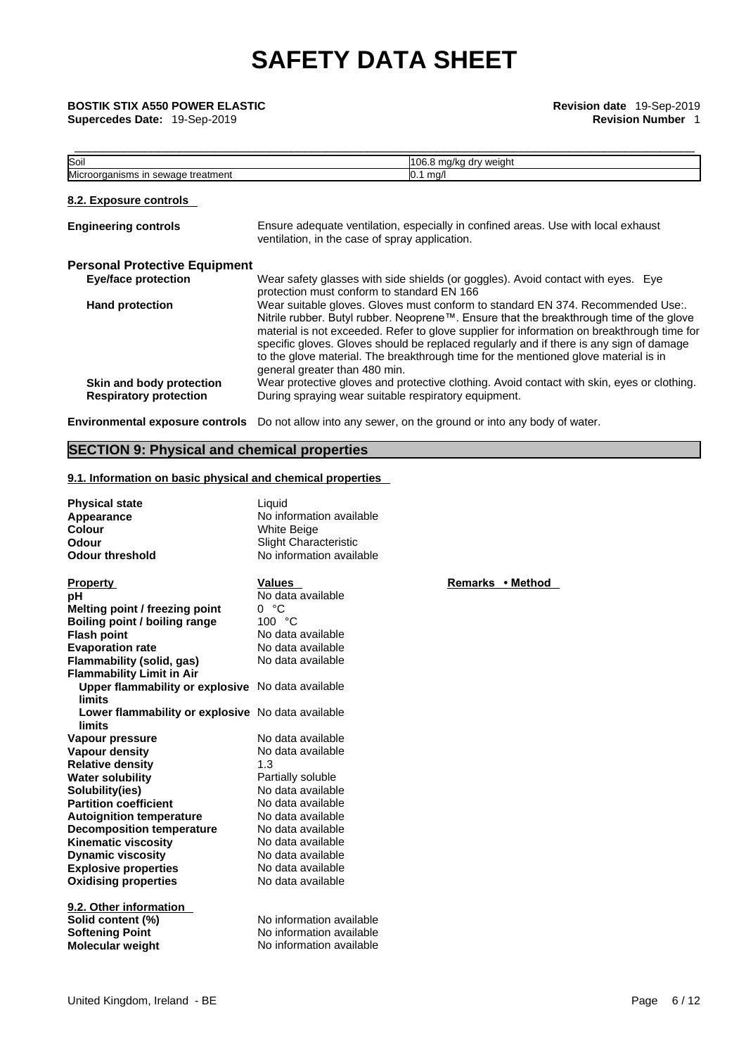**Supercedes Date: 19-Sep-2019** 

| Soil                                                      | 106.8 mg/kg dry weight                                                                                                                                                                                                                                                                                                                                                                                                                                                                      |  |
|-----------------------------------------------------------|---------------------------------------------------------------------------------------------------------------------------------------------------------------------------------------------------------------------------------------------------------------------------------------------------------------------------------------------------------------------------------------------------------------------------------------------------------------------------------------------|--|
| Microorganisms in sewage treatment                        | $0.1$ mg/                                                                                                                                                                                                                                                                                                                                                                                                                                                                                   |  |
| 8.2. Exposure controls                                    |                                                                                                                                                                                                                                                                                                                                                                                                                                                                                             |  |
| <b>Engineering controls</b>                               | Ensure adequate ventilation, especially in confined areas. Use with local exhaust<br>ventilation, in the case of spray application.                                                                                                                                                                                                                                                                                                                                                         |  |
| <b>Personal Protective Equipment</b>                      |                                                                                                                                                                                                                                                                                                                                                                                                                                                                                             |  |
| <b>Eye/face protection</b>                                | Wear safety glasses with side shields (or goggles). Avoid contact with eyes. Eye<br>protection must conform to standard EN 166                                                                                                                                                                                                                                                                                                                                                              |  |
| <b>Hand protection</b>                                    | Wear suitable gloves. Gloves must conform to standard EN 374. Recommended Use:.<br>Nitrile rubber. Butyl rubber. Neoprene™. Ensure that the breakthrough time of the glove<br>material is not exceeded. Refer to glove supplier for information on breakthrough time for<br>specific gloves. Gloves should be replaced regularly and if there is any sign of damage<br>to the glove material. The breakthrough time for the mentioned glove material is in<br>general greater than 480 min. |  |
| Skin and body protection<br><b>Respiratory protection</b> | Wear protective gloves and protective clothing. Avoid contact with skin, eyes or clothing.<br>During spraying wear suitable respiratory equipment.                                                                                                                                                                                                                                                                                                                                          |  |
| <b>Environmental exposure controls</b>                    | Do not allow into any sewer, on the ground or into any body of water.                                                                                                                                                                                                                                                                                                                                                                                                                       |  |

### **SECTION 9: Physical and chemical properties**

### **9.1. Information on basic physical and chemical properties**

| <b>Physical state</b><br>Appearance<br>Colour<br>Odour<br><b>Odour threshold</b> | Liquid<br>No information available<br><b>White Beige</b><br><b>Slight Characteristic</b><br>No information available |   |
|----------------------------------------------------------------------------------|----------------------------------------------------------------------------------------------------------------------|---|
| <b>Property</b>                                                                  | <b>Values</b>                                                                                                        | E |
| pН                                                                               | No data available                                                                                                    |   |
| Melting point / freezing point                                                   | 0 °C                                                                                                                 |   |
| Boiling point / boiling range                                                    | 100 °C                                                                                                               |   |
| <b>Flash point</b>                                                               | No data available                                                                                                    |   |
| <b>Evaporation rate</b>                                                          | No data available                                                                                                    |   |
| Flammability (solid, gas)                                                        | No data available                                                                                                    |   |
| <b>Flammability Limit in Air</b>                                                 |                                                                                                                      |   |
| Upper flammability or explosive No data available<br><b>limits</b>               |                                                                                                                      |   |
| Lower flammability or explosive No data available<br>limits                      |                                                                                                                      |   |
| Vapour pressure                                                                  | No data available                                                                                                    |   |
| <b>Vapour density</b>                                                            | No data available                                                                                                    |   |
| <b>Relative density</b>                                                          | 1.3                                                                                                                  |   |
| <b>Water solubility</b>                                                          | Partially soluble                                                                                                    |   |
| Solubility(ies)                                                                  | No data available                                                                                                    |   |
| <b>Partition coefficient</b>                                                     | No data available                                                                                                    |   |
| <b>Autoignition temperature</b>                                                  | No data available                                                                                                    |   |
| <b>Decomposition temperature</b>                                                 | No data available                                                                                                    |   |
| <b>Kinematic viscosity</b>                                                       | No data available                                                                                                    |   |
| <b>Dynamic viscosity</b>                                                         | No data available                                                                                                    |   |
| <b>Explosive properties</b>                                                      | No data available                                                                                                    |   |
| <b>Oxidising properties</b>                                                      | No data available                                                                                                    |   |
| 9.2. Other information                                                           |                                                                                                                      |   |
| Solid content (%)                                                                | No information available                                                                                             |   |
| <b>Softening Point</b>                                                           | No information available                                                                                             |   |
| <b>Molecular weight</b>                                                          | No information available                                                                                             |   |

**Remarks • Method**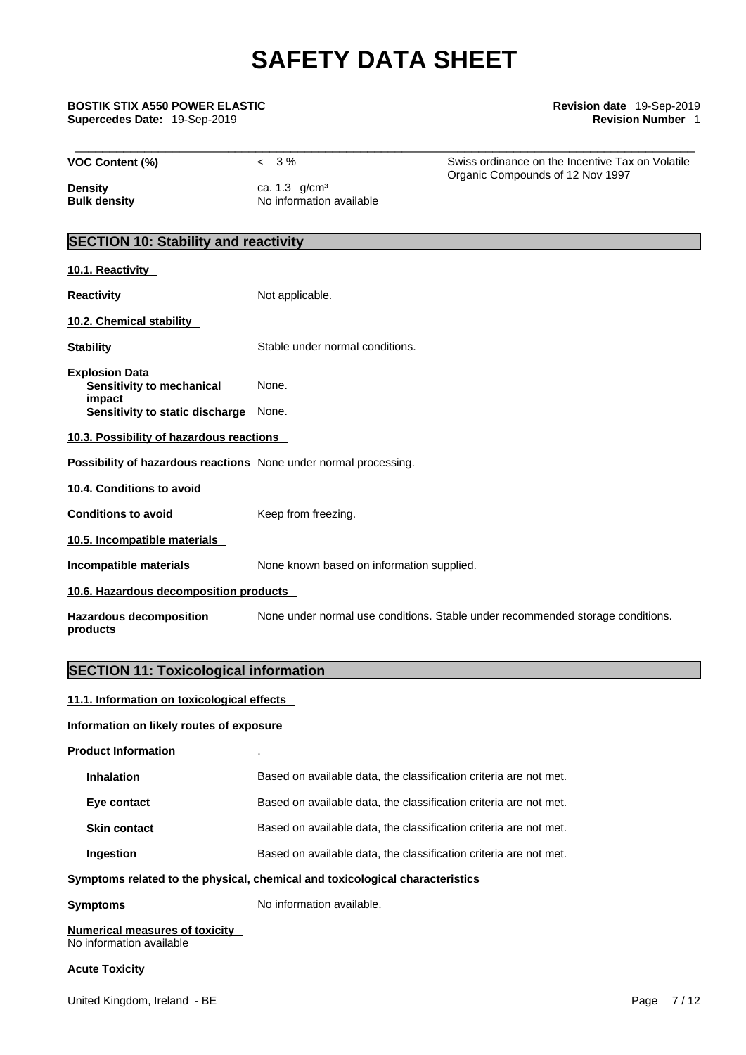\_\_\_\_\_\_\_\_\_\_\_\_\_\_\_\_\_\_\_\_\_\_\_\_\_\_\_\_\_\_\_\_\_\_\_\_\_\_\_\_\_\_\_\_\_\_\_\_\_\_\_\_\_\_\_\_\_\_\_\_\_\_\_\_\_\_\_\_\_\_\_\_\_\_\_\_\_\_\_\_\_\_\_\_\_\_\_\_\_ **BOSTIK STIX A550 POWER ELASTIC Revision date** 19-Sep-2019 **Supercedes Date: 19-Sep-2019** 

| <b>VOC Content (%)</b>                                            | $< 3\%$                                                                        | Swiss ordinance on the Incentive Tax on Volatile<br>Organic Compounds of 12 Nov 1997 |  |  |
|-------------------------------------------------------------------|--------------------------------------------------------------------------------|--------------------------------------------------------------------------------------|--|--|
| <b>Density</b><br><b>Bulk density</b>                             | ca. 1.3 g/cm <sup>3</sup><br>No information available                          |                                                                                      |  |  |
| <b>SECTION 10: Stability and reactivity</b>                       |                                                                                |                                                                                      |  |  |
| 10.1. Reactivity                                                  |                                                                                |                                                                                      |  |  |
| <b>Reactivity</b>                                                 | Not applicable.                                                                |                                                                                      |  |  |
| 10.2. Chemical stability                                          |                                                                                |                                                                                      |  |  |
| <b>Stability</b>                                                  | Stable under normal conditions.                                                |                                                                                      |  |  |
| <b>Explosion Data</b><br>Sensitivity to mechanical                | None.                                                                          |                                                                                      |  |  |
| impact<br>Sensitivity to static discharge None.                   |                                                                                |                                                                                      |  |  |
| 10.3. Possibility of hazardous reactions                          |                                                                                |                                                                                      |  |  |
| Possibility of hazardous reactions None under normal processing.  |                                                                                |                                                                                      |  |  |
| 10.4. Conditions to avoid                                         |                                                                                |                                                                                      |  |  |
| <b>Conditions to avoid</b>                                        | Keep from freezing.                                                            |                                                                                      |  |  |
| 10.5. Incompatible materials                                      |                                                                                |                                                                                      |  |  |
| Incompatible materials                                            | None known based on information supplied.                                      |                                                                                      |  |  |
| 10.6. Hazardous decomposition products                            |                                                                                |                                                                                      |  |  |
| <b>Hazardous decomposition</b><br>products                        | None under normal use conditions. Stable under recommended storage conditions. |                                                                                      |  |  |
| <b>SECTION 11: Toxicological information</b>                      |                                                                                |                                                                                      |  |  |
| 11.1. Information on toxicological effects                        |                                                                                |                                                                                      |  |  |
| Information on likely routes of exposure                          |                                                                                |                                                                                      |  |  |
| <b>Product Information</b>                                        |                                                                                |                                                                                      |  |  |
| <b>Inhalation</b>                                                 | Based on available data, the classification criteria are not met.              |                                                                                      |  |  |
| Eye contact                                                       | Based on available data, the classification criteria are not met.              |                                                                                      |  |  |
| <b>Skin contact</b>                                               | Based on available data, the classification criteria are not met.              |                                                                                      |  |  |
| Ingestion                                                         | Based on available data, the classification criteria are not met.              |                                                                                      |  |  |
|                                                                   | Symptoms related to the physical, chemical and toxicological characteristics   |                                                                                      |  |  |
| <b>Symptoms</b>                                                   | No information available.                                                      |                                                                                      |  |  |
| <b>Numerical measures of toxicity</b><br>No information available |                                                                                |                                                                                      |  |  |
|                                                                   |                                                                                |                                                                                      |  |  |

### **Acute Toxicity**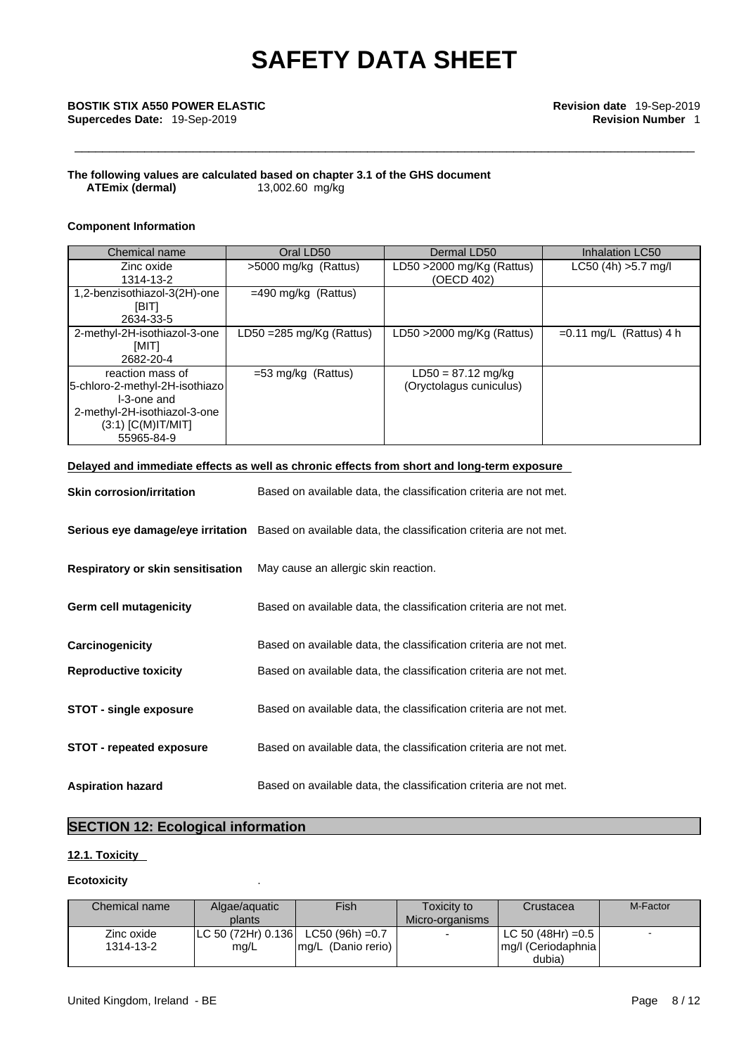### **The following values are calculated based on chapter 3.1 of the GHS document ATEmix** (dermal)

### **Component Information**

| Chemical name                                                                                                                           | Oral LD50                 | Dermal LD50                                     | Inhalation LC50           |
|-----------------------------------------------------------------------------------------------------------------------------------------|---------------------------|-------------------------------------------------|---------------------------|
| Zinc oxide<br>1314-13-2                                                                                                                 | >5000 mg/kg (Rattus)      | LD50 $>$ 2000 mg/Kg (Rattus)<br>(OECD 402)      | $LC50$ (4h) $>5.7$ mg/l   |
| 1,2-benzisothiazol-3(2H)-one<br>[BIT]<br>2634-33-5                                                                                      | $=490$ mg/kg (Rattus)     |                                                 |                           |
| 2-methyl-2H-isothiazol-3-one<br>[MIT]<br>2682-20-4                                                                                      | LD50 = 285 mg/Kg (Rattus) | LD50 >2000 mg/Kg (Rattus)                       | $=0.11$ mg/L (Rattus) 4 h |
| reaction mass of<br>5-chloro-2-methyl-2H-isothiazo<br>I-3-one and<br>2-methyl-2H-isothiazol-3-one<br>$(3:1)$ [C(M)IT/MIT]<br>55965-84-9 | $=$ 53 mg/kg (Rattus)     | $LD50 = 87.12$ mg/kg<br>(Oryctolagus cuniculus) |                           |

**Delayed and immediate effects as well as chronic effects from short and long-term exposure**

| <b>Skin corrosion/irritation</b>         | Based on available data, the classification criteria are not met.                                   |
|------------------------------------------|-----------------------------------------------------------------------------------------------------|
|                                          | Serious eye damage/eye irritation Based on available data, the classification criteria are not met. |
| <b>Respiratory or skin sensitisation</b> | May cause an allergic skin reaction.                                                                |
| Germ cell mutagenicity                   | Based on available data, the classification criteria are not met.                                   |
| Carcinogenicity                          | Based on available data, the classification criteria are not met.                                   |
| <b>Reproductive toxicity</b>             | Based on available data, the classification criteria are not met.                                   |
| <b>STOT - single exposure</b>            | Based on available data, the classification criteria are not met.                                   |
| <b>STOT - repeated exposure</b>          | Based on available data, the classification criteria are not met.                                   |
| <b>Aspiration hazard</b>                 | Based on available data, the classification criteria are not met.                                   |

### **SECTION 12: Ecological information**

### **12.1. Toxicity**

### **Ecotoxicity** .

| Chemical name | Algae/aguatic<br>plants                 | Fish                | Toxicity to<br>Micro-organisms | Crustacea           | M-Factor |
|---------------|-----------------------------------------|---------------------|--------------------------------|---------------------|----------|
| Zinc oxide    | $ LC 50 (72Hr) 0.136  CC50 (96h) = 0.7$ |                     |                                | LC 50 (48Hr) = 0.5  |          |
| 1314-13-2     | mg/L                                    | Img/L (Danio rerio) |                                | mg/l (Ceriodaphnia) |          |
|               |                                         |                     |                                | dubia)              |          |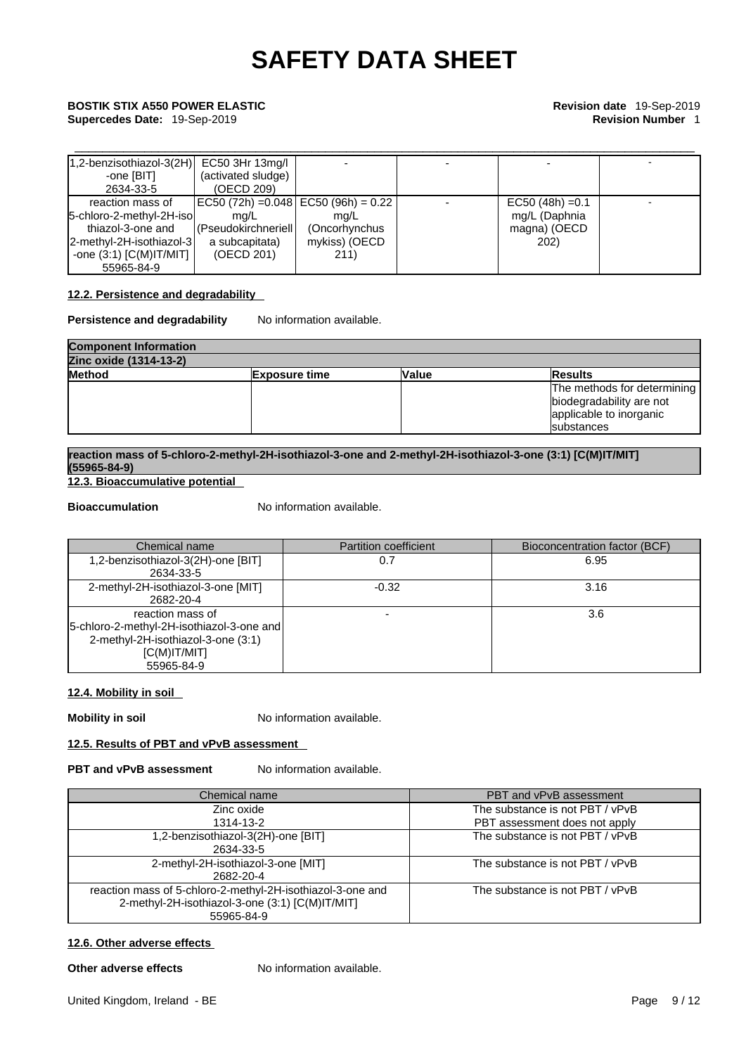# \_\_\_\_\_\_\_\_\_\_\_\_\_\_\_\_\_\_\_\_\_\_\_\_\_\_\_\_\_\_\_\_\_\_\_\_\_\_\_\_\_\_\_\_\_\_\_\_\_\_\_\_\_\_\_\_\_\_\_\_\_\_\_\_\_\_\_\_\_\_\_\_\_\_\_\_\_\_\_\_\_\_\_\_\_\_\_\_\_ **BOSTIK STIX A550 POWER ELASTIC Revision date** 19-Sep-2019

**Supercedes Date:** 19-Sep-2019 **Revision Number** 1

| $ 1,2$ -benzisothiazol-3(2H)  | EC50 3Hr 13mg/l                     |               |                    |  |
|-------------------------------|-------------------------------------|---------------|--------------------|--|
| -one [BIT]                    | (activated sludge)                  |               |                    |  |
| 2634-33-5                     | (OECD 209)                          |               |                    |  |
| reaction mass of              | EC50 (72h) =0.048 EC50 (96h) = 0.22 |               | $EC50 (48h) = 0.1$ |  |
| 5-chloro-2-methyl-2H-isol     | ma/L                                | ma/L          | mg/L (Daphnia      |  |
| thiazol-3-one and             | (Pseudokirchneriell)                | (Oncorhynchus | magna) (OECD       |  |
| 2-methyl-2H-isothiazol-3      | a subcapitata)                      | mykiss) (OECD | <b>202)</b>        |  |
| -one $(3:1)$ [C(M)IT/MIT] $ $ | (OECD 201)                          | 211)          |                    |  |
| 55965-84-9                    |                                     |               |                    |  |

### **12.2. Persistence and degradability**

**Persistence and degradability** No information available.

| <b>Component Information</b>                                             |  |  |                             |  |
|--------------------------------------------------------------------------|--|--|-----------------------------|--|
| Zinc oxide (1314-13-2)                                                   |  |  |                             |  |
| <b>Method</b><br><b>Value</b><br><b>Results</b><br><b>IExposure time</b> |  |  |                             |  |
|                                                                          |  |  | The methods for determining |  |
|                                                                          |  |  | biodegradability are not    |  |
|                                                                          |  |  | applicable to inorganic     |  |
|                                                                          |  |  | <b>Isubstances</b>          |  |

### **reaction mass of 5-chloro-2-methyl-2H-isothiazol-3-one and 2-methyl-2H-isothiazol-3-one (3:1) [C(M)IT/MIT] (55965-84-9)**

**12.3. Bioaccumulative potential** 

**Bioaccumulation** No information available.

| Chemical name                               | <b>Partition coefficient</b> | <b>Bioconcentration factor (BCF)</b> |
|---------------------------------------------|------------------------------|--------------------------------------|
| 1,2-benzisothiazol-3(2H)-one [BIT]          |                              | 6.95                                 |
| 2634-33-5                                   |                              |                                      |
| 2-methyl-2H-isothiazol-3-one [MIT]          | $-0.32$                      | 3.16                                 |
| 2682-20-4                                   |                              |                                      |
| reaction mass of                            |                              | 3.6                                  |
| [5-chloro-2-methyl-2H-isothiazol-3-one and] |                              |                                      |
| 2-methyl-2H-isothiazol-3-one (3:1)          |                              |                                      |
| $[C(M)$ IT/MIT]                             |                              |                                      |
| 55965-84-9                                  |                              |                                      |

### **12.4. Mobility in soil**

**Mobility in soil** No information available.

### **12.5. Results of PBT and vPvB assessment**

### **PBT** and **vPvB** assessment No information available.

| Chemical name                                                                                                               | PBT and vPvB assessment         |
|-----------------------------------------------------------------------------------------------------------------------------|---------------------------------|
| Zinc oxide                                                                                                                  | The substance is not PBT / vPvB |
| 1314-13-2                                                                                                                   | PBT assessment does not apply   |
| 1,2-benzisothiazol-3(2H)-one [BIT]<br>2634-33-5                                                                             | The substance is not PBT / vPvB |
| 2-methyl-2H-isothiazol-3-one [MIT]<br>2682-20-4                                                                             | The substance is not PBT / vPvB |
| reaction mass of 5-chloro-2-methyl-2H-isothiazol-3-one and<br>2-methyl-2H-isothiazol-3-one (3:1) [C(M)IT/MIT]<br>55965-84-9 | The substance is not PBT / vPvB |

### **12.6. Other adverse effects**

**Other adverse effects** No information available.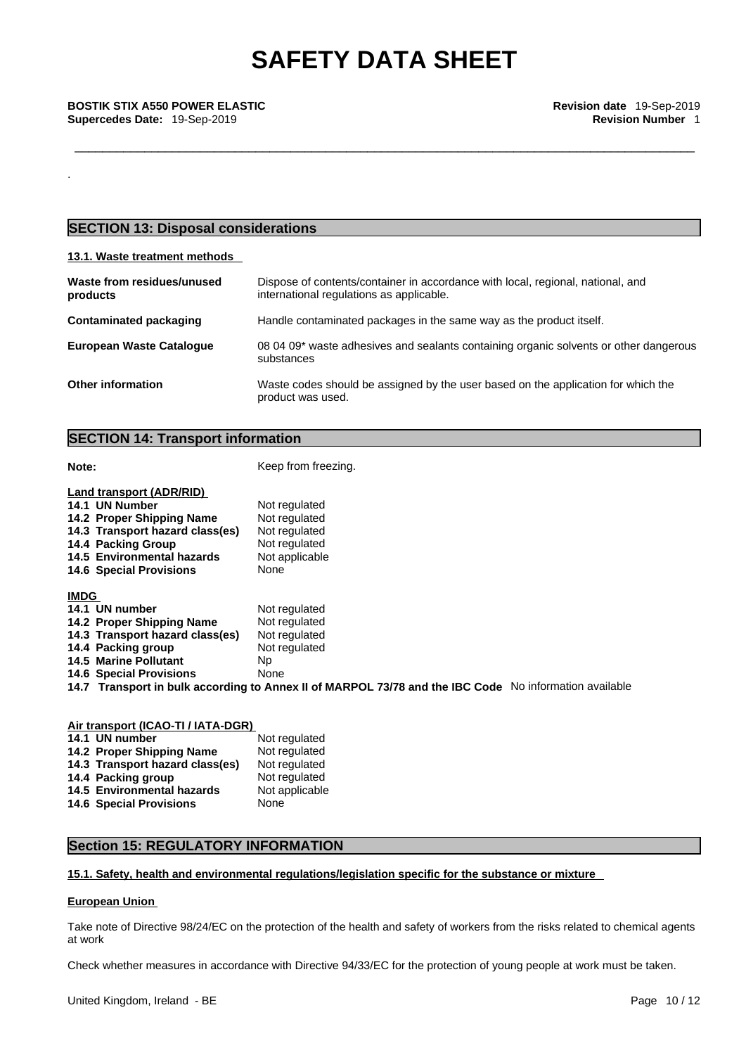\_\_\_\_\_\_\_\_\_\_\_\_\_\_\_\_\_\_\_\_\_\_\_\_\_\_\_\_\_\_\_\_\_\_\_\_\_\_\_\_\_\_\_\_\_\_\_\_\_\_\_\_\_\_\_\_\_\_\_\_\_\_\_\_\_\_\_\_\_\_\_\_\_\_\_\_\_\_\_\_\_\_\_\_\_\_\_\_\_ **BOSTIK STIX A550 POWER ELASTIC Revision date** 19-Sep-2019 **Supercedes Date:** 19-Sep-2019 **Revision Number** 1

### **SECTION 13: Disposal considerations**

### **13.1. Waste treatment methods**

.

| Waste from residues/unused<br>products | Dispose of contents/container in accordance with local, regional, national, and<br>international regulations as applicable. |
|----------------------------------------|-----------------------------------------------------------------------------------------------------------------------------|
| Contaminated packaging                 | Handle contaminated packages in the same way as the product itself.                                                         |
| <b>European Waste Cataloque</b>        | 08 04 09* waste adhesives and sealants containing organic solvents or other dangerous<br>substances                         |
| <b>Other information</b>               | Waste codes should be assigned by the user based on the application for which the<br>product was used.                      |

### **SECTION 14: Transport information**

**Note: Note: Keep from freezing.** 

| Land transport (ADR/RID)        |                                                                                                        |
|---------------------------------|--------------------------------------------------------------------------------------------------------|
| 14.1 UN Number                  | Not regulated                                                                                          |
| 14.2 Proper Shipping Name       | Not regulated                                                                                          |
| 14.3 Transport hazard class(es) | Not regulated                                                                                          |
| 14.4 Packing Group              | Not regulated                                                                                          |
| 14.5 Environmental hazards      | Not applicable                                                                                         |
| <b>14.6 Special Provisions</b>  | None                                                                                                   |
| <b>IMDG</b>                     |                                                                                                        |
| 14.1 UN number                  | Not regulated                                                                                          |
| 14.2 Proper Shipping Name       | Not regulated                                                                                          |
| 14.3 Transport hazard class(es) | Not regulated                                                                                          |
| 14.4 Packing group              | Not regulated                                                                                          |
| <b>14.5 Marine Pollutant</b>    | Np.                                                                                                    |
| <b>14.6 Special Provisions</b>  | None                                                                                                   |
|                                 | 14.7 Transport in bulk according to Annex II of MARPOL 73/78 and the IBC Code No information available |

### **Air transport (ICAO-TI / IATA-DGR) 14.1 UN number 14.2 Proper Shipping Name** Not regulated **14.3 Transport hazard class(es)** Not regulated **14.3 Transport hazard class(es)** Not regulated **14.4 Packing group 14.4 Packing group** Not regulated **14.5 Environmental hazards** Not applicable 14.6 Special Provisions None **14.6 Special Provisions**

### **Section 15: REGULATORY INFORMATION**

### **15.1. Safety, health and environmental regulations/legislation specific for the substance or mixture**

### **European Union**

Take note of Directive 98/24/EC on the protection of the health and safety of workers from the risks related to chemical agents at work

Check whether measures in accordance with Directive 94/33/EC for the protection of young people at work must be taken.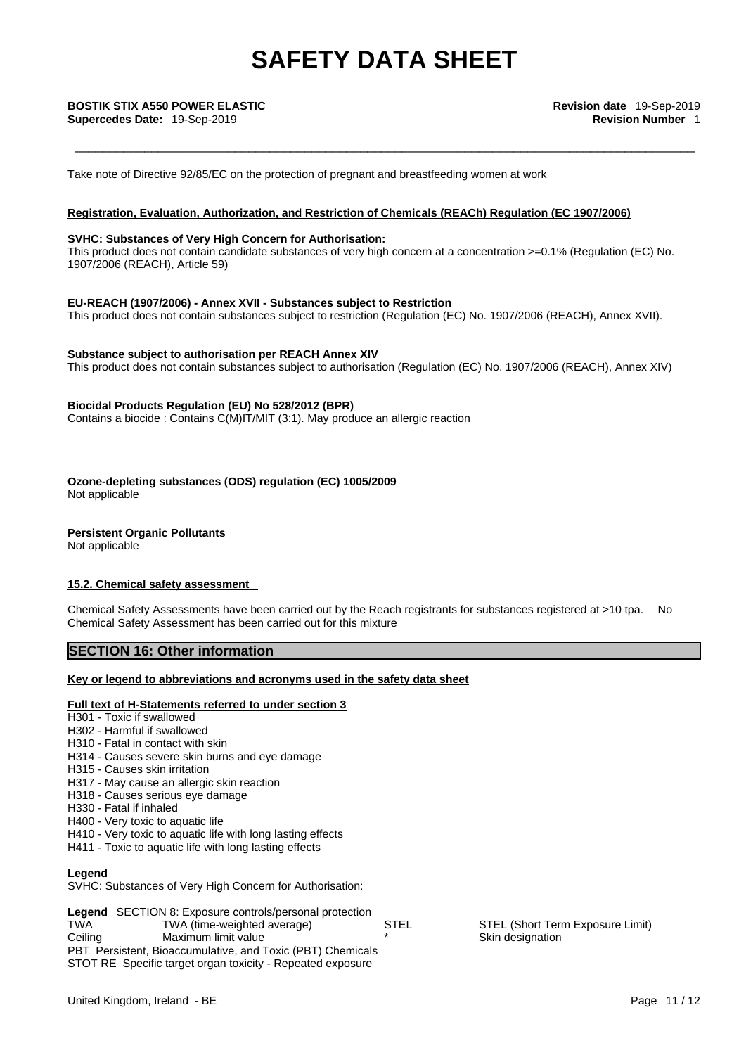Take note of Directive 92/85/EC on the protection of pregnant and breastfeeding women at work

### **Registration, Evaluation, Authorization, and Restriction of Chemicals (REACh) Regulation (EC 1907/2006)**

### **SVHC: Substances of Very High Concern for Authorisation:**

This product does not contain candidate substances of very high concern at a concentration >=0.1% (Regulation (EC) No. 1907/2006 (REACH), Article 59)

### **EU-REACH (1907/2006) - Annex XVII - Substances subject to Restriction**

This product does not contain substances subject to restriction (Regulation (EC) No. 1907/2006 (REACH), Annex XVII).

### **Substance subject to authorisation per REACH Annex XIV**

This product does not contain substances subject to authorisation (Regulation (EC) No. 1907/2006 (REACH), Annex XIV)

### **Biocidal Products Regulation (EU) No 528/2012 (BPR)**

Contains a biocide : Contains C(M)IT/MIT (3:1). May produce an allergic reaction

**Ozone-depleting substances (ODS) regulation (EC) 1005/2009**

Not applicable

**Persistent Organic Pollutants**

Not applicable

### **15.2. Chemical safety assessment**

Chemical Safety Assessments have been carried out by the Reach registrants for substances registered at >10 tpa. No Chemical Safety Assessment has been carried out for this mixture

### **SECTION 16: Other information**

### **Key or legend to abbreviations and acronyms used in the safety data sheet**

### **Full text of H-Statements referred to under section 3**

- H301 Toxic if swallowed
- H302 Harmful if swallowed
- H310 Fatal in contact with skin
- H314 Causes severe skin burns and eye damage
- H315 Causes skin irritation
- H317 May cause an allergic skin reaction
- H318 Causes serious eye damage
- H330 Fatal if inhaled
- H400 Very toxic to aquatic life
- H410 Very toxic to aquatic life with long lasting effects
- H411 Toxic to aquatic life with long lasting effects

### **Legend**

SVHC: Substances of Very High Concern for Authorisation:

|                                                            | <b>Legend</b> SECTION 8: Exposure controls/personal protection |             |    |  |
|------------------------------------------------------------|----------------------------------------------------------------|-------------|----|--|
| TWA                                                        | TWA (time-weighted average)                                    | <b>STEL</b> | S1 |  |
| Ceilina                                                    | Maximum limit value                                            | $\star$     | Sk |  |
| PBT Persistent, Bioaccumulative, and Toxic (PBT) Chemicals |                                                                |             |    |  |
|                                                            | STOT RE Specific target organ toxicity - Repeated exposure     |             |    |  |